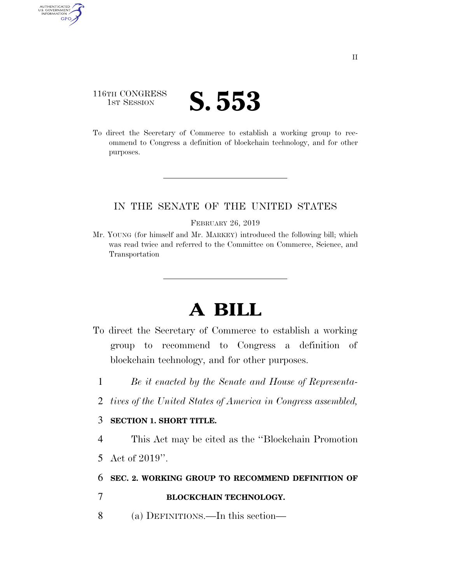## 116TH CONGRESS **IST SESSION S. 553**

AUTHENTICATED<br>U.S. GOVERNMENT<br>INFORMATION GPO

> To direct the Secretary of Commerce to establish a working group to recommend to Congress a definition of blockchain technology, and for other purposes.

## IN THE SENATE OF THE UNITED STATES

#### FEBRUARY 26, 2019

Mr. YOUNG (for himself and Mr. MARKEY) introduced the following bill; which was read twice and referred to the Committee on Commerce, Science, and Transportation

# **A BILL**

- To direct the Secretary of Commerce to establish a working group to recommend to Congress a definition of blockchain technology, and for other purposes.
	- 1 *Be it enacted by the Senate and House of Representa-*
	- 2 *tives of the United States of America in Congress assembled,*

### 3 **SECTION 1. SHORT TITLE.**

4 This Act may be cited as the ''Blockchain Promotion

5 Act of 2019''.

### 6 **SEC. 2. WORKING GROUP TO RECOMMEND DEFINITION OF**

- 7 **BLOCKCHAIN TECHNOLOGY.**
- 8 (a) DEFINITIONS.—In this section—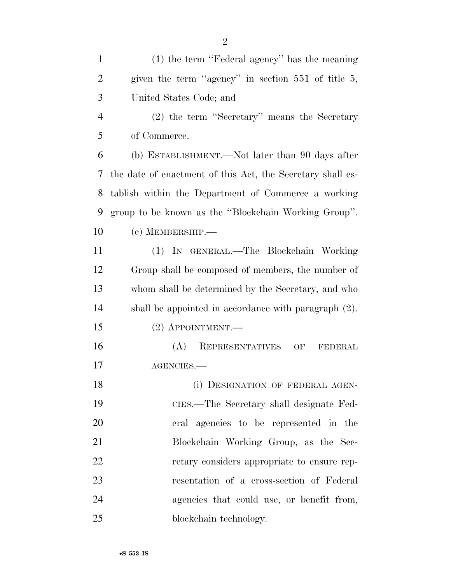(1) the term ''Federal agency'' has the meaning 2 given the term "agency" in section 551 of title 5, United States Code; and

 (2) the term ''Secretary'' means the Secretary of Commerce.

 (b) ESTABLISHMENT.—Not later than 90 days after the date of enactment of this Act, the Secretary shall es- tablish within the Department of Commerce a working group to be known as the ''Blockchain Working Group''. (c) MEMBERSHIP.—

 (1) IN GENERAL.—The Blockchain Working Group shall be composed of members, the number of whom shall be determined by the Secretary, and who shall be appointed in accordance with paragraph (2).

(2) APPOINTMENT.—

 (A) REPRESENTATIVES OF FEDERAL AGENCIES.—

18 (i) DESIGNATION OF FEDERAL AGEN- CIES.—The Secretary shall designate Fed- eral agencies to be represented in the Blockchain Working Group, as the Sec- retary considers appropriate to ensure rep- resentation of a cross-section of Federal agencies that could use, or benefit from, 25 blockchain technology.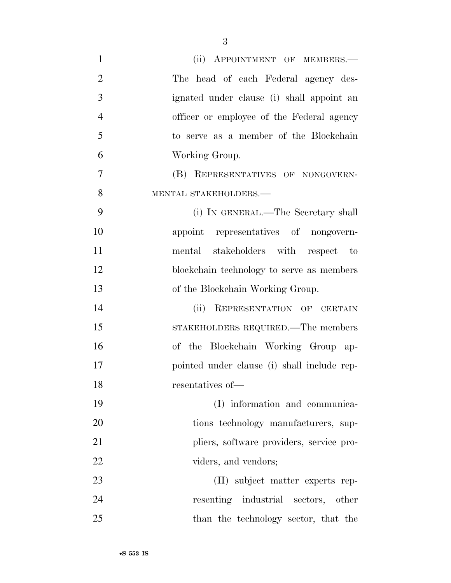| $\mathbf{1}$   | (ii) APPOINTMENT OF MEMBERS.-               |
|----------------|---------------------------------------------|
| $\overline{2}$ | The head of each Federal agency des-        |
| 3              | ignated under clause (i) shall appoint an   |
| $\overline{4}$ | officer or employee of the Federal agency   |
| 5              | to serve as a member of the Blockchain      |
| 6              | Working Group.                              |
| 7              | (B) REPRESENTATIVES OF NONGOVERN-           |
| 8              | MENTAL STAKEHOLDERS.-                       |
| 9              | (i) IN GENERAL.—The Secretary shall         |
| 10             | appoint representatives of nongovern-       |
| 11             | mental stakeholders with respect to         |
| 12             | blockchain technology to serve as members   |
| 13             | of the Blockchain Working Group.            |
| 14             | REPRESENTATION OF CERTAIN<br>(ii)           |
| 15             | STAKEHOLDERS REQUIRED.—The members          |
| 16             | of the Blockchain Working Group ap-         |
| 17             | pointed under clause (i) shall include rep- |
| 18             | resentatives of-                            |
| 19             | (I) information and communica-              |
| 20             | tions technology manufacturers, sup-        |
| 21             | pliers, software providers, service pro-    |
| 22             | viders, and vendors;                        |
| 23             | (II) subject matter experts rep-            |
| 24             | resenting industrial sectors, other         |
| 25             | than the technology sector, that the        |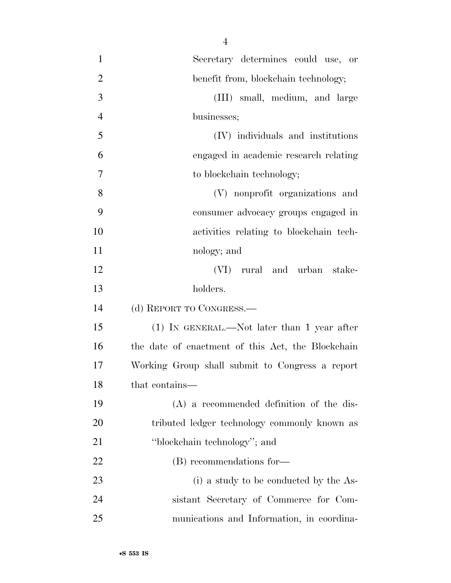| $\mathbf{1}$   | Secretary determines could use, or                |
|----------------|---------------------------------------------------|
| $\overline{2}$ | benefit from, blockchain technology;              |
| 3              | (III) small, medium, and large                    |
| $\overline{4}$ | businesses;                                       |
| 5              | (IV) individuals and institutions                 |
| 6              | engaged in academic research relating             |
| 7              | to blockchain technology;                         |
| 8              | (V) nonprofit organizations and                   |
| 9              | consumer advocacy groups engaged in               |
| 10             | activities relating to blockchain tech-           |
| 11             | nology; and                                       |
| 12             | (VI) rural and urban stake-                       |
| 13             | holders.                                          |
| 14             | (d) REPORT TO CONGRESS.—                          |
| 15             | $(1)$ IN GENERAL.—Not later than 1 year after     |
| 16             | the date of enactment of this Act, the Blockchain |
| 17             | Working Group shall submit to Congress a report   |
| 18             | that contains—                                    |
| 19             | $(A)$ a recommended definition of the dis-        |
| 20             | tributed ledger technology commonly known as      |
| 21             | "blockchain technology"; and                      |
| 22             | (B) recommendations for-                          |
| 23             | (i) a study to be conducted by the As-            |
| 24             | sistant Secretary of Commerce for Com-            |
| 25             | munications and Information, in coordina-         |